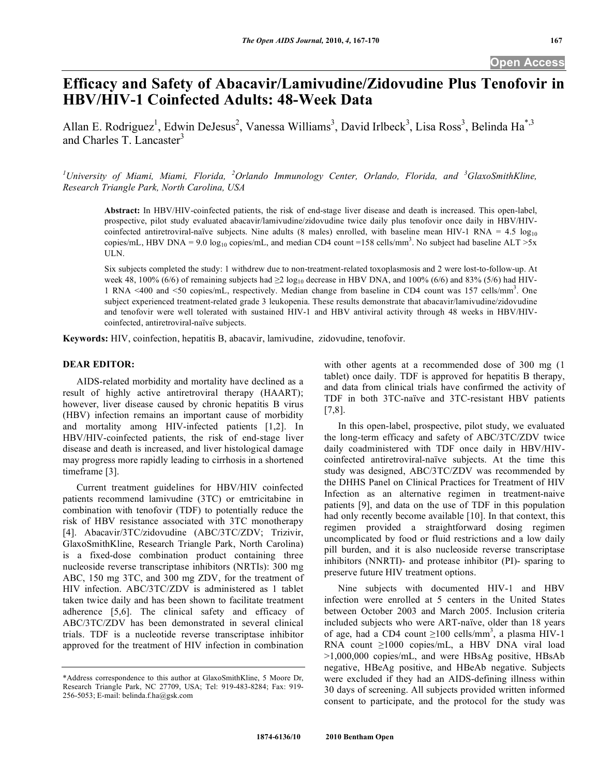# **Efficacy and Safety of Abacavir/Lamivudine/Zidovudine Plus Tenofovir in HBV/HIV-1 Coinfected Adults: 48-Week Data**

Allan E. Rodriguez<sup>1</sup>, Edwin DeJesus<sup>2</sup>, Vanessa Williams<sup>3</sup>, David Irlbeck<sup>3</sup>, Lisa Ross<sup>3</sup>, Belinda Ha<sup>\*,3</sup> and Charles T. Lancaster<sup>3</sup>

<sup>1</sup>University of Miami, Miami, Florida, <sup>2</sup>Orlando Immunology Center, Orlando, Florida, and <sup>3</sup>GlaxoSmithKline, *Research Triangle Park, North Carolina, USA* 

**Abstract:** In HBV/HIV-coinfected patients, the risk of end-stage liver disease and death is increased. This open-label, prospective, pilot study evaluated abacavir/lamivudine/zidovudine twice daily plus tenofovir once daily in HBV/HIVcoinfected antiretroviral-naïve subjects. Nine adults (8 males) enrolled, with baseline mean HIV-1 RNA =  $4.5 \log_{10}$ copies/mL, HBV DNA = 9.0  $log_{10}$  copies/mL, and median CD4 count =158 cells/mm<sup>3</sup>. No subject had baseline ALT >5x ULN.

Six subjects completed the study: 1 withdrew due to non-treatment-related toxoplasmosis and 2 were lost-to-follow-up. At week 48, 100% (6/6) of remaining subjects had  $\geq 2 \log_{10}$  decrease in HBV DNA, and 100% (6/6) and 83% (5/6) had HIV-1 RNA <400 and <50 copies/mL, respectively. Median change from baseline in CD4 count was 157 cells/mm<sup>3</sup> . One subject experienced treatment-related grade 3 leukopenia. These results demonstrate that abacavir/lamivudine/zidovudine and tenofovir were well tolerated with sustained HIV-1 and HBV antiviral activity through 48 weeks in HBV/HIVcoinfected, antiretroviral-naïve subjects.

**Keywords:** HIV, coinfection, hepatitis B, abacavir, lamivudine, zidovudine, tenofovir.

# **DEAR EDITOR:**

 AIDS-related morbidity and mortality have declined as a result of highly active antiretroviral therapy (HAART); however, liver disease caused by chronic hepatitis B virus (HBV) infection remains an important cause of morbidity and mortality among HIV-infected patients [1,2]. In HBV/HIV-coinfected patients, the risk of end-stage liver disease and death is increased, and liver histological damage may progress more rapidly leading to cirrhosis in a shortened timeframe [3].

 Current treatment guidelines for HBV/HIV coinfected patients recommend lamivudine (3TC) or emtricitabine in combination with tenofovir (TDF) to potentially reduce the risk of HBV resistance associated with 3TC monotherapy [4]. Abacavir/3TC/zidovudine (ABC/3TC/ZDV; Trizivir, GlaxoSmithKline, Research Triangle Park, North Carolina) is a fixed-dose combination product containing three nucleoside reverse transcriptase inhibitors (NRTIs): 300 mg ABC, 150 mg 3TC, and 300 mg ZDV, for the treatment of HIV infection. ABC/3TC/ZDV is administered as 1 tablet taken twice daily and has been shown to facilitate treatment adherence [5,6]. The clinical safety and efficacy of ABC/3TC/ZDV has been demonstrated in several clinical trials. TDF is a nucleotide reverse transcriptase inhibitor approved for the treatment of HIV infection in combination

with other agents at a recommended dose of 300 mg (1 tablet) once daily. TDF is approved for hepatitis B therapy, and data from clinical trials have confirmed the activity of TDF in both 3TC-naïve and 3TC-resistant HBV patients [7,8].

 In this open-label, prospective, pilot study, we evaluated the long-term efficacy and safety of ABC/3TC/ZDV twice daily coadministered with TDF once daily in HBV/HIVcoinfected antiretroviral-naïve subjects. At the time this study was designed, ABC/3TC/ZDV was recommended by the DHHS Panel on Clinical Practices for Treatment of HIV Infection as an alternative regimen in treatment-naive patients [9], and data on the use of TDF in this population had only recently become available [10]. In that context, this regimen provided a straightforward dosing regimen uncomplicated by food or fluid restrictions and a low daily pill burden, and it is also nucleoside reverse transcriptase inhibitors (NNRTI)- and protease inhibitor (PI)- sparing to preserve future HIV treatment options.

 Nine subjects with documented HIV-1 and HBV infection were enrolled at 5 centers in the United States between October 2003 and March 2005. Inclusion criteria included subjects who were ART-naïve, older than 18 years of age, had a CD4 count  $\geq 100$  cells/mm<sup>3</sup>, a plasma HIV-1 RNA count  $\geq 1000$  copies/mL, a HBV DNA viral load >1,000,000 copies/mL, and were HBsAg positive, HBsAb negative, HBeAg positive, and HBeAb negative. Subjects were excluded if they had an AIDS-defining illness within 30 days of screening. All subjects provided written informed consent to participate, and the protocol for the study was

<sup>\*</sup>Address correspondence to this author at GlaxoSmithKline, 5 Moore Dr, Research Triangle Park, NC 27709, USA; Tel: 919-483-8284; Fax: 919- 256-5053; E-mail: belinda.f.ha@gsk.com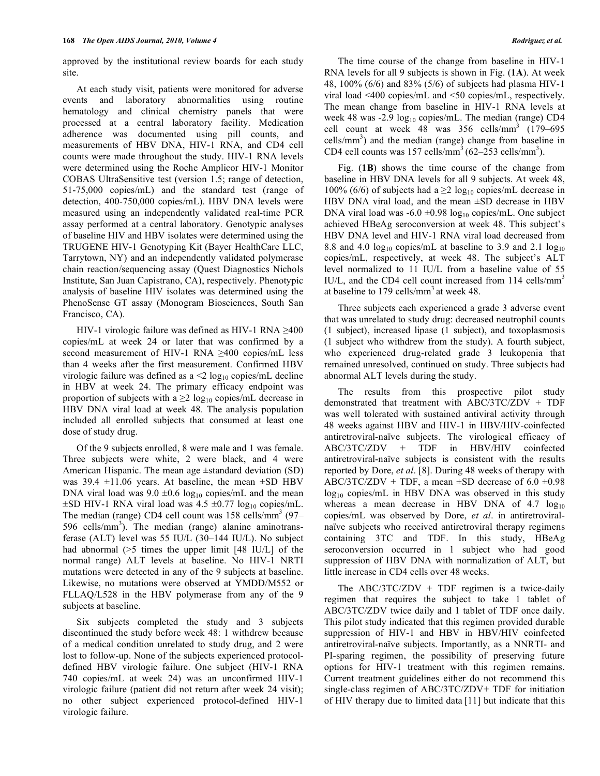approved by the institutional review boards for each study site.

 At each study visit, patients were monitored for adverse events and laboratory abnormalities using routine hematology and clinical chemistry panels that were processed at a central laboratory facility. Medication adherence was documented using pill counts, and measurements of HBV DNA, HIV-1 RNA, and CD4 cell counts were made throughout the study. HIV-1 RNA levels were determined using the Roche Amplicor HIV-1 Monitor COBAS UltraSensitive test (version 1.5; range of detection, 51-75,000 copies/mL) and the standard test (range of detection, 400-750,000 copies/mL). HBV DNA levels were measured using an independently validated real-time PCR assay performed at a central laboratory. Genotypic analyses of baseline HIV and HBV isolates were determined using the TRUGENE HIV-1 Genotyping Kit (Bayer HealthCare LLC, Tarrytown, NY) and an independently validated polymerase chain reaction/sequencing assay (Quest Diagnostics Nichols Institute, San Juan Capistrano, CA), respectively. Phenotypic analysis of baseline HIV isolates was determined using the PhenoSense GT assay (Monogram Biosciences, South San Francisco, CA).

HIV-1 virologic failure was defined as HIV-1 RNA  $\geq$ 400 copies/mL at week 24 or later that was confirmed by a second measurement of HIV-1 RNA  $\geq$ 400 copies/mL less than 4 weeks after the first measurement. Confirmed HBV virologic failure was defined as  $a \leq 2 \log_{10}$  copies/mL decline in HBV at week 24. The primary efficacy endpoint was proportion of subjects with a  $\geq 2 \log_{10}$  copies/mL decrease in HBV DNA viral load at week 48. The analysis population included all enrolled subjects that consumed at least one dose of study drug.

 Of the 9 subjects enrolled, 8 were male and 1 was female. Three subjects were white, 2 were black, and 4 were American Hispanic. The mean age ±standard deviation (SD) was 39.4  $\pm$ 11.06 years. At baseline, the mean  $\pm$ SD HBV DNA viral load was  $9.0 \pm 0.6 \log_{10}$  copies/mL and the mean  $\pm$ SD HIV-1 RNA viral load was 4.5  $\pm$ 0.77 log<sub>10</sub> copies/mL. The median (range) CD4 cell count was 158 cells/mm<sup>3</sup> (97– 596 cells/mm<sup>3</sup>). The median (range) alanine aminotransferase (ALT) level was 55 IU/L (30–144 IU/L). No subject had abnormal (>5 times the upper limit [48 IU/L] of the normal range) ALT levels at baseline. No HIV-1 NRTI mutations were detected in any of the 9 subjects at baseline. Likewise, no mutations were observed at YMDD/M552 or FLLAQ/L528 in the HBV polymerase from any of the 9 subjects at baseline.

 Six subjects completed the study and 3 subjects discontinued the study before week 48: 1 withdrew because of a medical condition unrelated to study drug, and 2 were lost to follow-up. None of the subjects experienced protocoldefined HBV virologic failure. One subject (HIV-1 RNA 740 copies/mL at week 24) was an unconfirmed HIV-1 virologic failure (patient did not return after week 24 visit); no other subject experienced protocol-defined HIV-1 virologic failure.

 The time course of the change from baseline in HIV-1 RNA levels for all 9 subjects is shown in Fig. (**1A**). At week 48, 100% (6/6) and 83% (5/6) of subjects had plasma HIV-1 viral load <400 copies/mL and <50 copies/mL, respectively. The mean change from baseline in HIV-1 RNA levels at week 48 was -2.9 log<sub>10</sub> copies/mL. The median (range) CD4 cell count at week  $48$  was  $356$  cells/mm<sup>3</sup>  $(179-695)$ cells/ $mm<sup>3</sup>$ ) and the median (range) change from baseline in CD4 cell counts was  $157$  cells/mm<sup>3</sup>  $(62-253$  cells/mm<sup>3</sup>).

 Fig. (**1B**) shows the time course of the change from baseline in HBV DNA levels for all 9 subjects. At week 48, 100% (6/6) of subjects had a  $\geq$  log<sub>10</sub> copies/mL decrease in HBV DNA viral load, and the mean  $\pm$ SD decrease in HBV DNA viral load was  $-6.0 \pm 0.98 \log_{10}$  copies/mL. One subject achieved HBeAg seroconversion at week 48. This subject's HBV DNA level and HIV-1 RNA viral load decreased from 8.8 and 4.0  $log_{10}$  copies/mL at baseline to 3.9 and 2.1  $log_{10}$ copies/mL, respectively, at week 48. The subject's ALT level normalized to 11 IU/L from a baseline value of 55 IU/L, and the CD4 cell count increased from 114 cells/mm<sup>3</sup> at baseline to 179 cells/mm<sup>3</sup> at week 48.

 Three subjects each experienced a grade 3 adverse event that was unrelated to study drug: decreased neutrophil counts (1 subject), increased lipase (1 subject), and toxoplasmosis (1 subject who withdrew from the study). A fourth subject, who experienced drug-related grade 3 leukopenia that remained unresolved, continued on study. Three subjects had abnormal ALT levels during the study.

 The results from this prospective pilot study demonstrated that treatment with ABC/3TC/ZDV + TDF was well tolerated with sustained antiviral activity through 48 weeks against HBV and HIV-1 in HBV/HIV-coinfected antiretroviral-naïve subjects. The virological efficacy of ABC/3TC/ZDV + TDF in HBV/HIV coinfected antiretroviral-naïve subjects is consistent with the results reported by Dore, *et al*. [8]. During 48 weeks of therapy with ABC/3TC/ZDV + TDF, a mean  $\pm$ SD decrease of 6.0  $\pm$ 0.98  $log_{10}$  copies/mL in HBV DNA was observed in this study whereas a mean decrease in HBV DNA of  $4.7 \log_{10}$ copies/mL was observed by Dore, *et al*. in antiretroviralnaïve subjects who received antiretroviral therapy regimens containing 3TC and TDF. In this study, HBeAg seroconversion occurred in 1 subject who had good suppression of HBV DNA with normalization of ALT, but little increase in CD4 cells over 48 weeks.

The ABC/3TC/ZDV + TDF regimen is a twice-daily regimen that requires the subject to take 1 tablet of ABC/3TC/ZDV twice daily and 1 tablet of TDF once daily. This pilot study indicated that this regimen provided durable suppression of HIV-1 and HBV in HBV/HIV coinfected antiretroviral-naïve subjects. Importantly, as a NNRTI- and PI-sparing regimen, the possibility of preserving future options for HIV-1 treatment with this regimen remains. Current treatment guidelines either do not recommend this single-class regimen of ABC/3TC/ZDV+ TDF for initiation of HIV therapy due to limited data [11] but indicate that this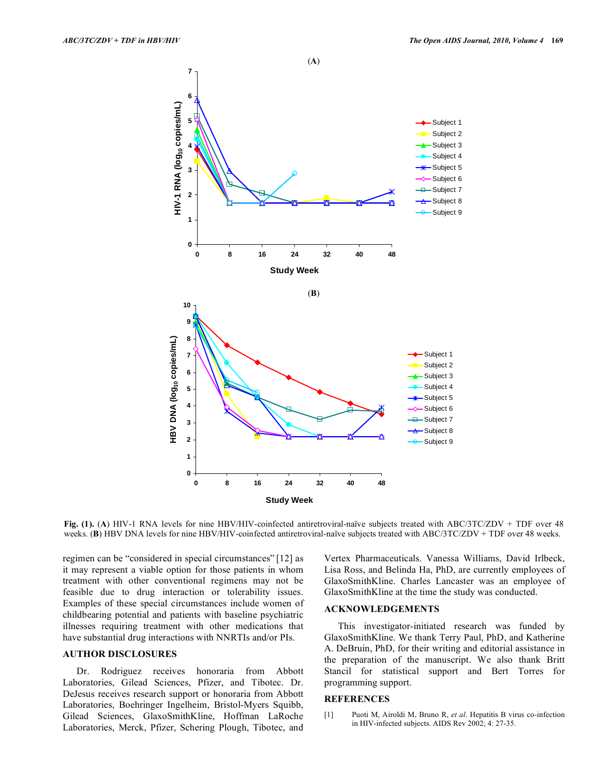

**Fig. (1).** (**A**) HIV-1 RNA levels for nine HBV/HIV-coinfected antiretroviral-naïve subjects treated with ABC/3TC/ZDV + TDF over 48 weeks. (**B**) HBV DNA levels for nine HBV/HIV-coinfected antiretroviral-naïve subjects treated with ABC/3TC/ZDV + TDF over 48 weeks.

regimen can be "considered in special circumstances" [12] as it may represent a viable option for those patients in whom treatment with other conventional regimens may not be feasible due to drug interaction or tolerability issues. Examples of these special circumstances include women of childbearing potential and patients with baseline psychiatric illnesses requiring treatment with other medications that have substantial drug interactions with NNRTIs and/or PIs.

## **AUTHOR DISCLOSURES**

 Dr. Rodriguez receives honoraria from Abbott Laboratories, Gilead Sciences, Pfizer, and Tibotec. Dr. DeJesus receives research support or honoraria from Abbott Laboratories, Boehringer Ingelheim, Bristol-Myers Squibb, Gilead Sciences, GlaxoSmithKline, Hoffman LaRoche Laboratories, Merck, Pfizer, Schering Plough, Tibotec, and Vertex Pharmaceuticals. Vanessa Williams, David Irlbeck, Lisa Ross, and Belinda Ha, PhD, are currently employees of GlaxoSmithKline. Charles Lancaster was an employee of GlaxoSmithKline at the time the study was conducted.

# **ACKNOWLEDGEMENTS**

 This investigator-initiated research was funded by GlaxoSmithKline. We thank Terry Paul, PhD, and Katherine A. DeBruin, PhD, for their writing and editorial assistance in the preparation of the manuscript. We also thank Britt Stancil for statistical support and Bert Torres for programming support.

### **REFERENCES**

[1] Puoti M, Airoldi M, Bruno R, *et al*. Hepatitis B virus co-infection in HIV-infected subjects. AIDS Rev 2002; 4: 27-35.